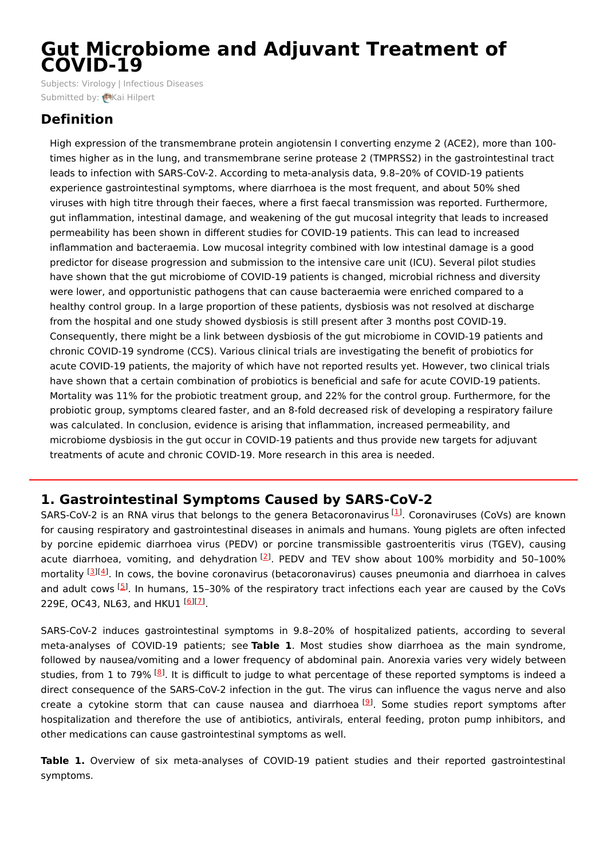# **Gut Microbiome and Adjuvant Treatment of COVID-19**

Subjects: [Virology](https://encyclopedia.pub/item/subject/60) | [Infectious](https://encyclopedia.pub/item/subject/271) Diseases Submitted by: Kai [Hilpert](https://sciprofiles.com/profile/630846)

# **Definition**

High expression of the transmembrane protein angiotensin I converting enzyme 2 (ACE2), more than 100 times higher as in the lung, and transmembrane serine protease 2 (TMPRSS2) in the gastrointestinal tract leads to infection with SARS-CoV-2. According to meta-analysis data, 9.8–20% of COVID-19 patients experience gastrointestinal symptoms, where diarrhoea is the most frequent, and about 50% shed viruses with high titre through their faeces, where a first faecal transmission was reported. Furthermore, gut inflammation, intestinal damage, and weakening of the gut mucosal integrity that leads to increased permeability has been shown in different studies for COVID-19 patients. This can lead to increased inflammation and bacteraemia. Low mucosal integrity combined with low intestinal damage is a good predictor for disease progression and submission to the intensive care unit (ICU). Several pilot studies have shown that the gut microbiome of COVID-19 patients is changed, microbial richness and diversity were lower, and opportunistic pathogens that can cause bacteraemia were enriched compared to a healthy control group. In a large proportion of these patients, dysbiosis was not resolved at discharge from the hospital and one study showed dysbiosis is still present after 3 months post COVID-19. Consequently, there might be a link between dysbiosis of the gut microbiome in COVID-19 patients and chronic COVID-19 syndrome (CCS). Various clinical trials are investigating the benefit of probiotics for acute COVID-19 patients, the majority of which have not reported results yet. However, two clinical trials have shown that a certain combination of probiotics is beneficial and safe for acute COVID-19 patients. Mortality was 11% for the probiotic treatment group, and 22% for the control group. Furthermore, for the probiotic group, symptoms cleared faster, and an 8-fold decreased risk of developing a respiratory failure was calculated. In conclusion, evidence is arising that inflammation, increased permeability, and microbiome dysbiosis in the gut occur in COVID-19 patients and thus provide new targets for adjuvant treatments of acute and chronic COVID-19. More research in this area is needed.

# **1. Gastrointestinal Symptoms Caused by SARS-CoV-2**

SARS-CoV-2 is an RNA virus that belongs to the genera Betacoronavirus [\[1](#page-6-0)]. Coronaviruses (CoVs) are known for causing respiratory and gastrointestinal diseases in animals and humans. Young piglets are often infected by porcine epidemic diarrhoea virus (PEDV) or porcine transmissible gastroenteritis virus (TGEV), causing acute diarrhoea, vomiting, and dehydration  $^{[2]}$  $^{[2]}$  $^{[2]}$ . PEDV and TEV show about 100% morbidity and 50-100% mortality [\[3](#page-6-2)][\[4](#page-6-3)]. In cows, the bovine coronavirus (betacoronavirus) causes pneumonia and diarrhoea in calves and adult cows [[5](#page-6-4)]. In humans, 15-30% of the respiratory tract infections each year are caused by the CoVs 229E, OC43, NL63, and HKU1 <sup>[[6\]](#page-6-5)[[7](#page-6-6)]</sup>.

SARS-CoV-2 induces gastrointestinal symptoms in 9.8–20% of hospitalized patients, according to several meta-analyses of COVID-19 patients; see **Table 1**. Most studies show diarrhoea as the main syndrome, followed by nausea/vomiting and a lower frequency of abdominal pain. Anorexia varies very widely between studies, from 1 to 79% <sup>[[8](#page-6-7)]</sup>. It is difficult to judge to what percentage of these reported symptoms is indeed a direct consequence of the SARS-CoV-2 infection in the gut. The virus can influence the vagus nerve and also create a cytokine storm that can cause nausea and diarrhoea<sup>[[9](#page-6-8)]</sup>. Some studies report symptoms after hospitalization and therefore the use of antibiotics, antivirals, enteral feeding, proton pump inhibitors, and other medications can cause gastrointestinal symptoms as well.

**Table 1.** Overview of six meta-analyses of COVID-19 patient studies and their reported gastrointestinal symptoms.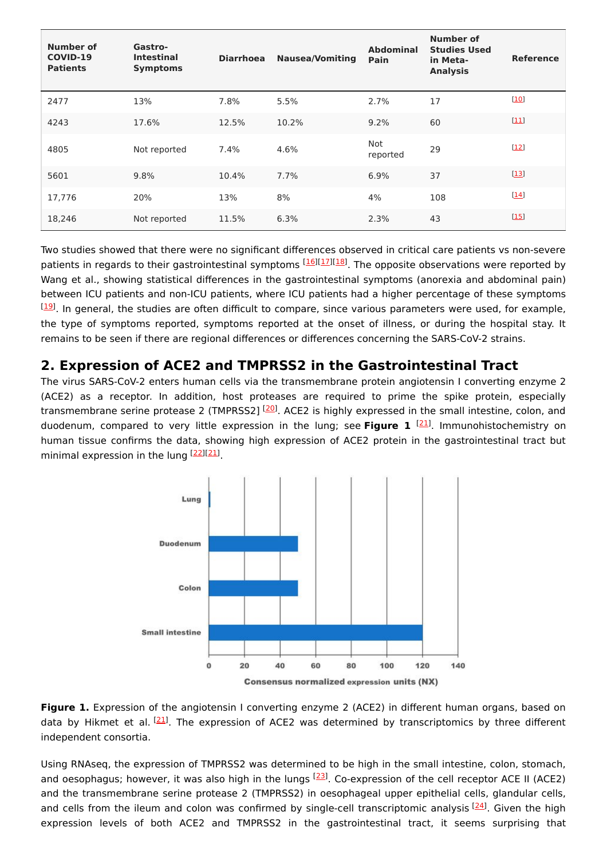| Number of<br>COVID-19<br><b>Patients</b> | Gastro-<br><b>Intestinal</b><br><b>Symptoms</b> | <b>Diarrhoea</b> | <b>Nausea/Vomiting</b> | Abdominal<br>Pain | Number of<br><b>Studies Used</b><br>in Meta-<br><b>Analysis</b> | <b>Reference</b>     |
|------------------------------------------|-------------------------------------------------|------------------|------------------------|-------------------|-----------------------------------------------------------------|----------------------|
| 2477                                     | 13%                                             | 7.8%             | 5.5%                   | 2.7%              | 17                                                              | $[10]$               |
| 4243                                     | 17.6%                                           | 12.5%            | 10.2%                  | 9.2%              | 60                                                              | $[11]$               |
| 4805                                     | Not reported                                    | 7.4%             | 4.6%                   | Not<br>reported   | 29                                                              | [12]                 |
| 5601                                     | 9.8%                                            | 10.4%            | 7.7%                   | 6.9%              | 37                                                              | $[13]$               |
| 17,776                                   | 20%                                             | 13%              | 8%                     | 4%                | 108                                                             | $[14]$               |
| 18,246                                   | Not reported                                    | 11.5%            | 6.3%                   | 2.3%              | 43                                                              | $\lfloor 15 \rfloor$ |

Two studies showed that there were no significant differences observed in critical care patients vs non-severe patients in regards to their gastrointestinal symptoms [\[16](#page-6-15)][\[17](#page-6-16)][\[18](#page-6-17)]. The opposite observations were reported by Wang et al., showing statistical differences in the gastrointestinal symptoms (anorexia and abdominal pain) between ICU patients and non-ICU patients, where ICU patients had a higher percentage of these symptoms <sup>[[19](#page-6-18)]</sup>. In general, the studies are often difficult to compare, since various parameters were used, for example, the type of symptoms reported, symptoms reported at the onset of illness, or during the hospital stay. It remains to be seen if there are regional differences or differences concerning the SARS-CoV-2 strains.

# **2. Expression of ACE2 and TMPRSS2 in the Gastrointestinal Tract**

The virus SARS-CoV-2 enters human cells via the transmembrane protein angiotensin I converting enzyme 2 (ACE2) as a receptor. In addition, host proteases are required to prime the spike protein, especially transmembrane serine protease 2 (TMPRSS2] <sup>[\[20](#page-6-19)]</sup>. ACE2 is highly expressed in the small intestine, colon, and duodenum, compared to very little expression in the lung; see Figure 1 <sup>[[21](#page-6-20)]</sup>. Immunohistochemistry on human tissue confirms the data, showing high expression of ACE2 protein in the gastrointestinal tract but minimal expression in the lung [\[22](#page-7-0)][[21](#page-6-20)].



**Figure 1.** Expression of the angiotensin I converting enzyme 2 (ACE2) in different human organs, based on data by Hikmet et al. <sup>[\[21](#page-6-20)]</sup>. The expression of ACE2 was determined by transcriptomics by three different independent consortia.

Using RNAseq, the expression of TMPRSS2 was determined to be high in the small intestine, colon, stomach, and oesophagus; however, it was also high in the lungs <sup>[[23](#page-7-1)]</sup>. Co-expression of the cell receptor ACE II (ACE2) and the transmembrane serine protease 2 (TMPRSS2) in oesophageal upper epithelial cells, glandular cells, and cells from the ileum and colon was confirmed by single-cell transcriptomic analysis [\[24](#page-7-2)]. Given the high expression levels of both ACE2 and TMPRSS2 in the gastrointestinal tract, it seems surprising that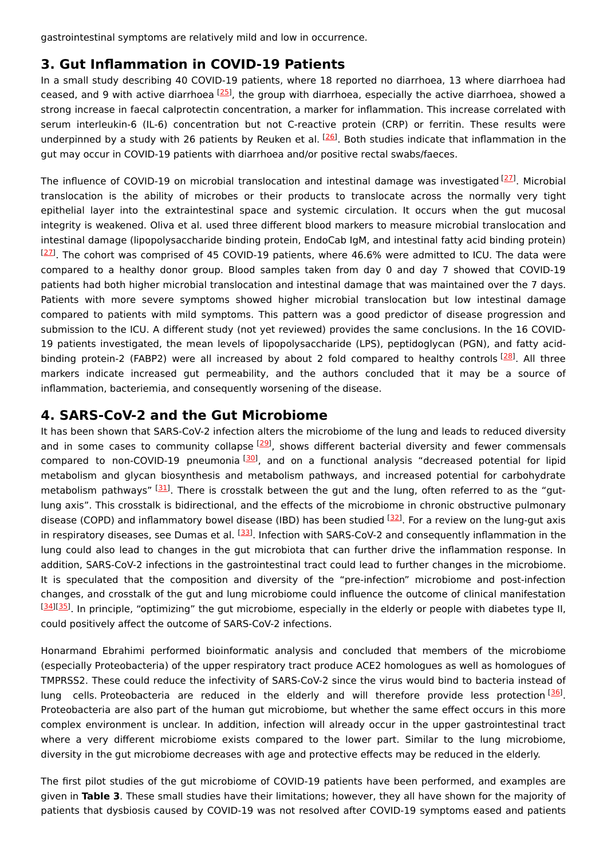gastrointestinal symptoms are relatively mild and low in occurrence.

### **3. Gut Inflammation in COVID-19 Patients**

In a small study describing 40 COVID-19 patients, where 18 reported no diarrhoea, 13 where diarrhoea had ceased, and 9 with active diarrhoea [\[25](#page-7-3)], the group with diarrhoea, especially the active diarrhoea, showed a strong increase in faecal calprotectin concentration, a marker for inflammation. This increase correlated with serum interleukin-6 (IL-6) concentration but not C-reactive protein (CRP) or ferritin. These results were underpinned by a study with [26](#page-7-4) patients by Reuken et al. <sup>[26]</sup>. Both studies indicate that inflammation in the gut may occur in COVID-19 patients with diarrhoea and/or positive rectal swabs/faeces.

The influence of COVID-19 on microbial translocation and intestinal damage was investigated [[27](#page-7-5)]. Microbial translocation is the ability of microbes or their products to translocate across the normally very tight epithelial layer into the extraintestinal space and systemic circulation. It occurs when the gut mucosal integrity is weakened. Oliva et al. used three different blood markers to measure microbial translocation and intestinal damage (lipopolysaccharide binding protein, EndoCab IgM, and intestinal fatty acid binding protein)  $^{[27]}$  $^{[27]}$  $^{[27]}$ . The cohort was comprised of 45 COVID-19 patients, where 46.6% were admitted to ICU. The data were compared to a healthy donor group. Blood samples taken from day 0 and day 7 showed that COVID-19 patients had both higher microbial translocation and intestinal damage that was maintained over the 7 days. Patients with more severe symptoms showed higher microbial translocation but low intestinal damage compared to patients with mild symptoms. This pattern was a good predictor of disease progression and submission to the ICU. A different study (not yet reviewed) provides the same conclusions. In the 16 COVID-19 patients investigated, the mean levels of lipopolysaccharide (LPS), peptidoglycan (PGN), and fatty acid-binding protein-2 (FABP2) were all increased by about 2 fold compared to healthy controls [[28](#page-7-6)]. All three markers indicate increased gut permeability, and the authors concluded that it may be a source of inflammation, bacteriemia, and consequently worsening of the disease.

#### **4. SARS-CoV-2 and the Gut Microbiome**

It has been shown that SARS-CoV-2 infection alters the microbiome of the lung and leads to reduced diversity and in some cases to community collapse <sup>[\[29](#page-7-7)]</sup>, shows different bacterial diversity and fewer commensals compared to non-COVID-19 pneumonia <sup>[\[30](#page-7-8)]</sup>, and on a functional analysis "decreased potential for lipid metabolism and glycan biosynthesis and metabolism pathways, and increased potential for carbohydrate metabolism pathways" [\[31](#page-7-9)]. There is crosstalk between the gut and the lung, often referred to as the "gutlung axis". This crosstalk is bidirectional, and the effects of the microbiome in chronic obstructive pulmonary disease (COPD) and inflammatory bowel disease (IBD) has been studied <sup>[\[32](#page-7-10)]</sup>. For a review on the lung-gut axis in respiratory diseases, see Dumas et al. <sup>[[33](#page-7-11)]</sup>. Infection with SARS-CoV-2 and consequently inflammation in the lung could also lead to changes in the gut microbiota that can further drive the inflammation response. In addition, SARS-CoV-2 infections in the gastrointestinal tract could lead to further changes in the microbiome. It is speculated that the composition and diversity of the "pre-infection" microbiome and post-infection changes, and crosstalk of the gut and lung microbiome could influence the outcome of clinical manifestation [[34](#page-7-12)][\[35](#page-7-13)]. In principle, "optimizing" the gut microbiome, especially in the elderly or people with diabetes type II, could positively affect the outcome of SARS-CoV-2 infections.

Honarmand Ebrahimi performed bioinformatic analysis and concluded that members of the microbiome (especially Proteobacteria) of the upper respiratory tract produce ACE2 homologues as well as homologues of TMPRSS2. These could reduce the infectivity of SARS-CoV-2 since the virus would bind to bacteria instead of lung cells Proteobacteria are reduced in the elderly and will therefore provide less protection [[36](#page-7-14)]. Proteobacteria are also part of the human gut microbiome, but whether the same effect occurs in this more complex environment is unclear. In addition, infection will already occur in the upper gastrointestinal tract where a very different microbiome exists compared to the lower part. Similar to the lung microbiome, diversity in the gut microbiome decreases with age and protective effects may be reduced in the elderly.

The first pilot studies of the gut microbiome of COVID-19 patients have been performed, and examples are given in **Table 3**. These small studies have their limitations; however, they all have shown for the majority of patients that dysbiosis caused by COVID-19 was not resolved after COVID-19 symptoms eased and patients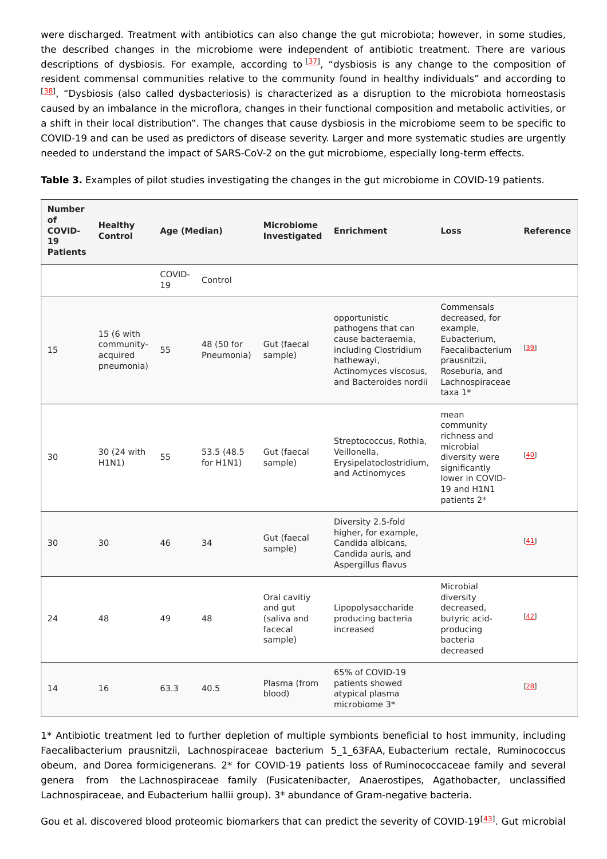were discharged. Treatment with antibiotics can also change the gut microbiota; however, in some studies, the described changes in the microbiome were independent of antibiotic treatment. There are various descriptions of dysbiosis. For example, according to <sup>[\[37](#page-7-15)]</sup>, "dysbiosis is any change to the composition of resident commensal communities relative to the community found in healthy individuals" and according to <sup>[[38](#page-7-16)]</sup>, "Dysbiosis (also called dysbacteriosis) is characterized as a disruption to the microbiota homeostasis caused by an imbalance in the microflora, changes in their functional composition and metabolic activities, or a shift in their local distribution". The changes that cause dysbiosis in the microbiome seem to be specific to COVID-19 and can be used as predictors of disease severity. Larger and more systematic studies are urgently needed to understand the impact of SARS-CoV-2 on the gut microbiome, especially long-term effects.

| <b>Number</b><br><b>of</b><br><b>COVID-</b><br>19<br><b>Patients</b> | <b>Healthy</b><br>Control                          | Age (Median) |                             | <b>Microbiome</b><br>Investigated                            | <b>Enrichment</b>                                                                                                                                   | <b>Loss</b>                                                                                                                                    | <b>Reference</b> |
|----------------------------------------------------------------------|----------------------------------------------------|--------------|-----------------------------|--------------------------------------------------------------|-----------------------------------------------------------------------------------------------------------------------------------------------------|------------------------------------------------------------------------------------------------------------------------------------------------|------------------|
|                                                                      |                                                    | COVID-<br>19 | Control                     |                                                              |                                                                                                                                                     |                                                                                                                                                |                  |
| 15                                                                   | 15 (6 with<br>community-<br>acquired<br>pneumonia) | 55           | 48 (50 for<br>Pneumonia)    | Gut (faecal<br>sample)                                       | opportunistic<br>pathogens that can<br>cause bacteraemia.<br>including Clostridium<br>hathewayi,<br>Actinomyces viscosus,<br>and Bacteroides nordii | Commensals<br>decreased, for<br>example,<br>Eubacterium.<br>Faecalibacterium<br>prausnitzii,<br>Roseburia, and<br>Lachnospiraceae<br>taxa $1*$ | [39]             |
| 30                                                                   | 30 (24 with<br>H1N1)                               | 55           | 53.5 (48.5)<br>for $H1N1$ ) | Gut (faecal<br>sample)                                       | Streptococcus, Rothia,<br>Veillonella,<br>Erysipelatoclostridium,<br>and Actinomyces                                                                | mean<br>community<br>richness and<br>microbial<br>diversity were<br>significantly<br>lower in COVID-<br>19 and H1N1<br>patients 2*             | $[40]$           |
| 30                                                                   | 30                                                 | 46           | 34                          | Gut (faecal<br>sample)                                       | Diversity 2.5-fold<br>higher, for example,<br>Candida albicans,<br>Candida auris, and<br>Aspergillus flavus                                         |                                                                                                                                                | $[41]$           |
| 24                                                                   | 48                                                 | 49           | 48                          | Oral cavitiy<br>and gut<br>(saliva and<br>facecal<br>sample) | Lipopolysaccharide<br>producing bacteria<br>increased                                                                                               | Microbial<br>diversity<br>decreased,<br>butyric acid-<br>producing<br>bacteria<br>decreased                                                    | $[42]$           |
| 14                                                                   | 16                                                 | 63.3         | 40.5                        | Plasma (from<br>blood)                                       | 65% of COVID-19<br>patients showed<br>atypical plasma<br>microbiome 3*                                                                              |                                                                                                                                                | $[28]$           |

**Table 3.** Examples of pilot studies investigating the changes in the gut microbiome in COVID-19 patients.

1\* Antibiotic treatment led to further depletion of multiple symbionts beneficial to host immunity, including Faecalibacterium prausnitzii, Lachnospiraceae bacterium 5 1 63FAA, Eubacterium rectale, Ruminococcus obeum, and Dorea formicigenerans. 2\* for COVID-19 patients loss of Ruminococcaceae family and several genera from the Lachnospiraceae family (Fusicatenibacter, Anaerostipes, Agathobacter, unclassified Lachnospiraceae, and Eubacterium hallii group). 3\* abundance of Gram-negative bacteria.

Gou et al. discovered blood proteomic biomarkers that can predict the severity of COVID-19<sup>[\[43](#page-7-21)]</sup>. Gut microbial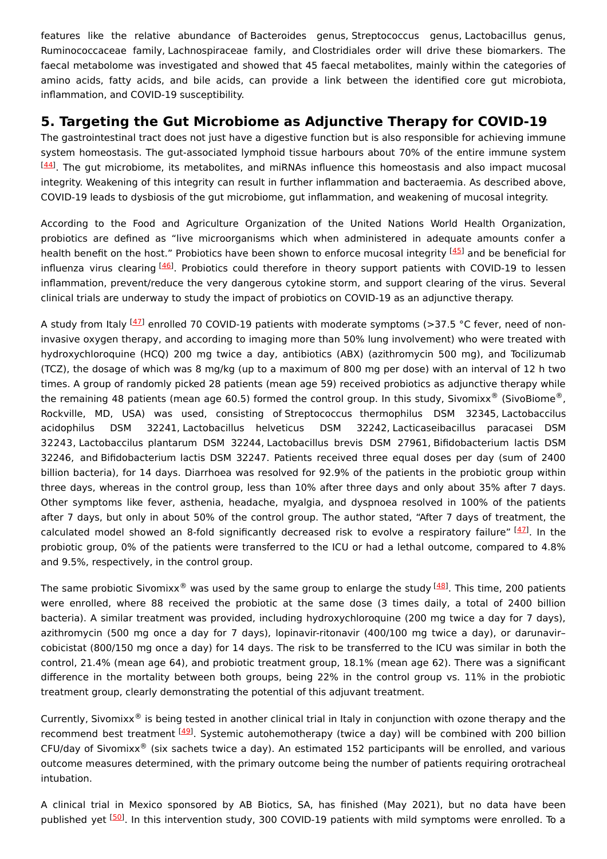features like the relative abundance of Bacteroides genus, Streptococcus genus, Lactobacillus genus, Ruminococcaceae family, Lachnospiraceae family, and Clostridiales order will drive these biomarkers. The faecal metabolome was investigated and showed that 45 faecal metabolites, mainly within the categories of amino acids, fatty acids, and bile acids, can provide a link between the identified core gut microbiota, inflammation, and COVID-19 susceptibility.

# **5. Targeting the Gut Microbiome as Adjunctive Therapy for COVID-19**

The gastrointestinal tract does not just have a digestive function but is also responsible for achieving immune system homeostasis. The gut-associated lymphoid tissue harbours about 70% of the entire immune system  $\frac{[44]}{[44]}$  $\frac{[44]}{[44]}$  $\frac{[44]}{[44]}$ . The gut microbiome, its metabolites, and miRNAs influence this homeostasis and also impact mucosal integrity. Weakening of this integrity can result in further inflammation and bacteraemia. As described above, COVID-19 leads to dysbiosis of the gut microbiome, gut inflammation, and weakening of mucosal integrity.

According to the Food and Agriculture Organization of the United Nations World Health Organization, probiotics are defined as "live microorganisms which when administered in adequate amounts confer a health benefit on the host." Probiotics have been shown to enforce mucosal integrity <sup>[\[45](#page-7-23)]</sup> and be beneficial for influenza virus clearing <sup>[\[46](#page-7-24)]</sup>. Probiotics could therefore in theory support patients with COVID-19 to lessen inflammation, prevent/reduce the very dangerous cytokine storm, and support clearing of the virus. Several clinical trials are underway to study the impact of probiotics on COVID-19 as an adjunctive therapy.

A study from Italy <sup>[\[47](#page-7-25)]</sup> enrolled 70 COVID-19 patients with moderate symptoms (>37.5 °C fever, need of noninvasive oxygen therapy, and according to imaging more than 50% lung involvement) who were treated with hydroxychloroquine (HCQ) 200 mg twice a day, antibiotics (ABX) (azithromycin 500 mg), and Tocilizumab (TCZ), the dosage of which was 8 mg/kg (up to a maximum of 800 mg per dose) with an interval of 12 h two times. A group of randomly picked 28 patients (mean age 59) received probiotics as adjunctive therapy while the remaining 48 patients (mean age 60.5) formed the control group. In this study, Sivomixx® (SivoBiome®, Rockville, MD, USA) was used, consisting of Streptococcus thermophilus DSM 32345, Lactobaccilus acidophilus DSM 32241, Lactobacillus helveticus DSM 32242, Lacticaseibacillus paracasei DSM 32243, Lactobaccilus plantarum DSM 32244, Lactobacillus brevis DSM 27961, Bifidobacterium lactis DSM 32246, and Bifidobacterium lactis DSM 32247. Patients received three equal doses per day (sum of 2400 billion bacteria), for 14 days. Diarrhoea was resolved for 92.9% of the patients in the probiotic group within three days, whereas in the control group, less than 10% after three days and only about 35% after 7 days. Other symptoms like fever, asthenia, headache, myalgia, and dyspnoea resolved in 100% of the patients after 7 days, but only in about 50% of the control group. The author stated, "After 7 days of treatment, the calculated model showed an 8-fold significantly decreased risk to evolve a respiratory failure" [\[47](#page-7-25)]. In the probiotic group, 0% of the patients were transferred to the ICU or had a lethal outcome, compared to 4.8% and 9.5%, respectively, in the control group.

The same probiotic Sivomixx® was used by the same group to enlarge the study <sup>[[48](#page-7-26)]</sup>. This time, 200 patients were enrolled, where 88 received the probiotic at the same dose (3 times daily, a total of 2400 billion bacteria). A similar treatment was provided, including hydroxychloroquine (200 mg twice a day for 7 days), azithromycin (500 mg once a day for 7 days), lopinavir-ritonavir (400/100 mg twice a day), or darunavir– cobicistat (800/150 mg once a day) for 14 days. The risk to be transferred to the ICU was similar in both the control, 21.4% (mean age 64), and probiotic treatment group, 18.1% (mean age 62). There was a significant difference in the mortality between both groups, being 22% in the control group vs. 11% in the probiotic treatment group, clearly demonstrating the potential of this adjuvant treatment.

Currently, Sivomixx $^{\circledast}$  is being tested in another clinical trial in Italy in conjunction with ozone therapy and the recommend best treatment [[49](#page-8-0)]. Systemic autohemotherapy (twice a day) will be combined with 200 billion CFU/day of Sivomixx® (six sachets twice a day). An estimated 152 participants will be enrolled, and various outcome measures determined, with the primary outcome being the number of patients requiring orotracheal intubation.

A clinical trial in Mexico sponsored by AB Biotics, SA, has finished (May 2021), but no data have been published yet [\[50](#page-8-1)]. In this intervention study, 300 COVID-19 patients with mild symptoms were enrolled. To a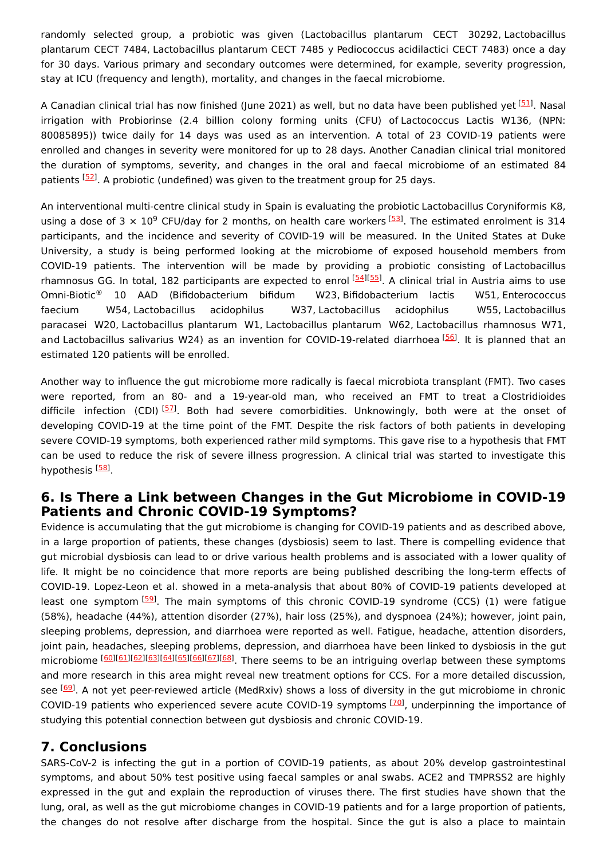randomly selected group, a probiotic was given (Lactobacillus plantarum CECT 30292, Lactobacillus plantarum CECT 7484, Lactobacillus plantarum CECT 7485 y Pediococcus acidilactici CECT 7483) once a day for 30 days. Various primary and secondary outcomes were determined, for example, severity progression, stay at ICU (frequency and length), mortality, and changes in the faecal microbiome.

A Canadian clinical trial has now finished (June 2021) as well, but no data have been published yet [[51](#page-8-2)]. Nasal irrigation with Probiorinse (2.4 billion colony forming units (CFU) of Lactococcus Lactis W136, (NPN: 80085895)) twice daily for 14 days was used as an intervention. A total of 23 COVID-19 patients were enrolled and changes in severity were monitored for up to 28 days. Another Canadian clinical trial monitored the duration of symptoms, severity, and changes in the oral and faecal microbiome of an estimated 84 patients <sup>[\[52](#page-8-3)]</sup>. A probiotic (undefined) was given to the treatment group for 25 days.

An interventional multi-centre clinical study in Spain is evaluating the probiotic Lactobacillus Coryniformis K8, using a dose of 3  $\times$  10<sup>9</sup> CFU/day for 2 months, on health care workers  $^{[53]}$  $^{[53]}$  $^{[53]}$ . The estimated enrolment is 314 participants, and the incidence and severity of COVID-19 will be measured. In the United States at Duke University, a study is being performed looking at the microbiome of exposed household members from COVID-19 patients. The intervention will be made by providing a probiotic consisting of Lactobacillus rhamnosus GG. In total, 182 participants are expected to enrol <sup>[\[54](#page-8-5)][\[55](#page-8-6)]</sup>. A clinical trial in Austria aims to use 10 AAD (Bifidobacterium bifidum W23, Bifidobacterium lactis W51, Enterococcus faecium W54, Lactobacillus acidophilus W37, Lactobacillus acidophilus W55, Lactobacillus paracasei W20, Lactobacillus plantarum W1, Lactobacillus plantarum W62, Lactobacillus rhamnosus W71, and Lactobacillus salivarius W24) as an invention for COVID-19-related diarrhoea <a>[\[56](#page-8-7)]</a>. It is planned that an estimated 120 patients will be enrolled. Omni-Biotic<sup>®</sup>

Another way to influence the gut microbiome more radically is faecal microbiota transplant (FMT). Two cases were reported, from an 80- and a 19-year-old man, who received an FMT to treat a Clostridioides difficile infection (CDI)<sup>[\[57](#page-8-8)]</sup>. Both had severe comorbidities. Unknowingly, both were at the onset of developing COVID-19 at the time point of the FMT. Despite the risk factors of both patients in developing severe COVID-19 symptoms, both experienced rather mild symptoms. This gave rise to a hypothesis that FMT can be used to reduce the risk of severe illness progression. A clinical trial was started to investigate this hypothesis <sup>[<u>58</u>]</sup>

### **6. Is There a Link between Changes in the Gut Microbiome in COVID-19 Patients and Chronic COVID-19 Symptoms?**

Evidence is accumulating that the gut microbiome is changing for COVID-19 patients and as described above, in a large proportion of patients, these changes (dysbiosis) seem to last. There is compelling evidence that gut microbial dysbiosis can lead to or drive various health problems and is associated with a lower quality of life. It might be no coincidence that more reports are being published describing the long-term effects of COVID-19. Lopez-Leon et al. showed in a meta-analysis that about 80% of COVID-19 patients developed at least one symptom  $\frac{[59]}{]}$  $\frac{[59]}{]}$  $\frac{[59]}{]}$ . The main symptoms of this chronic COVID-19 syndrome (CCS) (1) were fatigue (58%), headache (44%), attention disorder (27%), hair loss (25%), and dyspnoea (24%); however, joint pain, sleeping problems, depression, and diarrhoea were reported as well. Fatigue, headache, attention disorders, joint pain, headaches, sleeping problems, depression, and diarrhoea have been linked to dysbiosis in the gut microbiome [\[60](#page-8-11)][\[61](#page-8-12)][\[62](#page-8-13)][\[63](#page-8-14)][[64](#page-8-15)][\[65](#page-8-16)][\[66](#page-8-17)][\[67](#page-8-18)][[68](#page-8-19)]. There seems to be an intriguing overlap between these symptoms and more research in this area might reveal new treatment options for CCS. For a more detailed discussion, see <sup>[<u>69</u>]</sup>. A not yet peer-reviewed article (MedRxiv) shows a loss of diversity in the gut microbiome in chronic COVID-19 patients who experienced severe acute COVID-19 symptoms [[70](#page-8-21)], underpinning the importance of studying this potential connection between gut dysbiosis and chronic COVID-19.

# **7. Conclusions**

SARS-CoV-2 is infecting the gut in a portion of COVID-19 patients, as about 20% develop gastrointestinal symptoms, and about 50% test positive using faecal samples or anal swabs. ACE2 and TMPRSS2 are highly expressed in the gut and explain the reproduction of viruses there. The first studies have shown that the lung, oral, as well as the gut microbiome changes in COVID-19 patients and for a large proportion of patients, the changes do not resolve after discharge from the hospital. Since the gut is also a place to maintain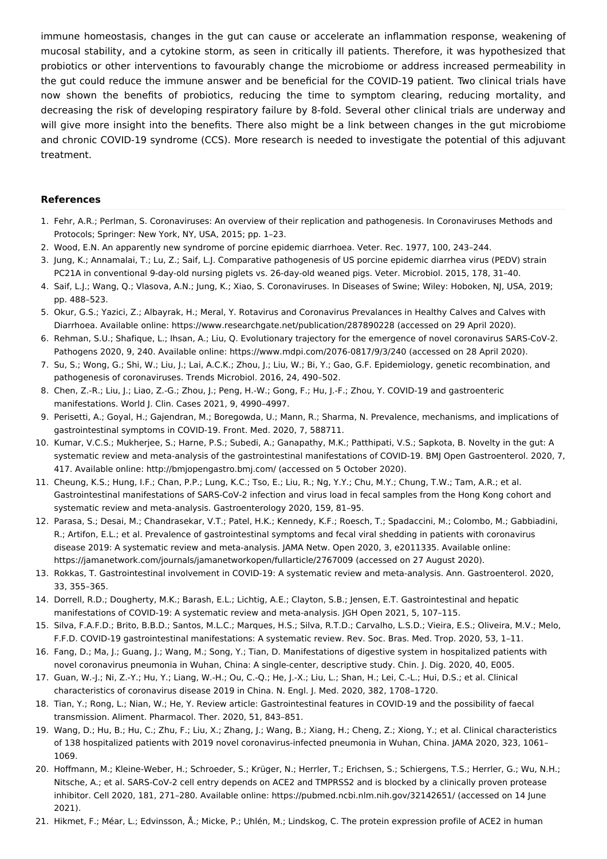immune homeostasis, changes in the gut can cause or accelerate an inflammation response, weakening of mucosal stability, and a cytokine storm, as seen in critically ill patients. Therefore, it was hypothesized that probiotics or other interventions to favourably change the microbiome or address increased permeability in the gut could reduce the immune answer and be beneficial for the COVID-19 patient. Two clinical trials have now shown the benefits of probiotics, reducing the time to symptom clearing, reducing mortality, and decreasing the risk of developing respiratory failure by 8-fold. Several other clinical trials are underway and will give more insight into the benefits. There also might be a link between changes in the gut microbiome and chronic COVID-19 syndrome (CCS). More research is needed to investigate the potential of this adjuvant treatment.

#### **References**

- <span id="page-6-0"></span>1. Fehr, A.R.; Perlman, S. Coronaviruses: An overview of their replication and pathogenesis. In Coronaviruses Methods and Protocols; Springer: New York, NY, USA, 2015; pp. 1–23.
- <span id="page-6-1"></span>2. Wood, E.N. An apparently new syndrome of porcine epidemic diarrhoea. Veter. Rec. 1977, 100, 243–244.
- <span id="page-6-2"></span>3. Jung, K.; Annamalai, T.; Lu, Z.; Saif, L.J. Comparative pathogenesis of US porcine epidemic diarrhea virus (PEDV) strain PC21A in conventional 9-day-old nursing piglets vs. 26-day-old weaned pigs. Veter. Microbiol. 2015, 178, 31–40.
- <span id="page-6-3"></span>4. Saif, L.J.; Wang, Q.; Vlasova, A.N.; Jung, K.; Xiao, S. Coronaviruses. In Diseases of Swine; Wiley: Hoboken, NJ, USA, 2019; pp. 488–523.
- <span id="page-6-4"></span>5. Okur, G.S.; Yazici, Z.; Albayrak, H.; Meral, Y. Rotavirus and Coronavirus Prevalances in Healthy Calves and Calves with Diarrhoea. Available online: https://www.researchgate.net/publication/287890228 (accessed on 29 April 2020).
- <span id="page-6-5"></span>6. Rehman, S.U.; Shafique, L.; Ihsan, A.; Liu, Q. Evolutionary trajectory for the emergence of novel coronavirus SARS-CoV-2. Pathogens 2020, 9, 240. Available online: https://www.mdpi.com/2076-0817/9/3/240 (accessed on 28 April 2020).
- <span id="page-6-6"></span>7. Su, S.; Wong, G.; Shi, W.; Liu, J.; Lai, A.C.K.; Zhou, J.; Liu, W.; Bi, Y.; Gao, G.F. Epidemiology, genetic recombination, and pathogenesis of coronaviruses. Trends Microbiol. 2016, 24, 490–502.
- <span id="page-6-7"></span>8. Chen, Z.-R.; Liu, J.; Liao, Z.-G.; Zhou, J.; Peng, H.-W.; Gong, F.; Hu, J.-F.; Zhou, Y. COVID-19 and gastroenteric manifestations. World J. Clin. Cases 2021, 9, 4990–4997.
- <span id="page-6-8"></span>9. Perisetti, A.; Goyal, H.; Gajendran, M.; Boregowda, U.; Mann, R.; Sharma, N. Prevalence, mechanisms, and implications of gastrointestinal symptoms in COVID-19. Front. Med. 2020, 7, 588711.
- <span id="page-6-9"></span>10. Kumar, V.C.S.; Mukherjee, S.; Harne, P.S.; Subedi, A.; Ganapathy, M.K.; Patthipati, V.S.; Sapkota, B. Novelty in the gut: A systematic review and meta-analysis of the gastrointestinal manifestations of COVID-19. BMJ Open Gastroenterol. 2020, 7, 417. Available online: http://bmjopengastro.bmj.com/ (accessed on 5 October 2020).
- <span id="page-6-10"></span>11. Cheung, K.S.; Hung, I.F.; Chan, P.P.; Lung, K.C.; Tso, E.; Liu, R.; Ng, Y.Y.; Chu, M.Y.; Chung, T.W.; Tam, A.R.; et al. Gastrointestinal manifestations of SARS-CoV-2 infection and virus load in fecal samples from the Hong Kong cohort and systematic review and meta-analysis. Gastroenterology 2020, 159, 81–95.
- <span id="page-6-11"></span>12. Parasa, S.; Desai, M.; Chandrasekar, V.T.; Patel, H.K.; Kennedy, K.F.; Roesch, T.; Spadaccini, M.; Colombo, M.; Gabbiadini, R.; Artifon, E.L.; et al. Prevalence of gastrointestinal symptoms and fecal viral shedding in patients with coronavirus disease 2019: A systematic review and meta-analysis. JAMA Netw. Open 2020, 3, e2011335. Available online: https://jamanetwork.com/journals/jamanetworkopen/fullarticle/2767009 (accessed on 27 August 2020).
- <span id="page-6-12"></span>13. Rokkas, T. Gastrointestinal involvement in COVID-19: A systematic review and meta-analysis. Ann. Gastroenterol. 2020, 33, 355–365.
- <span id="page-6-13"></span>14. Dorrell, R.D.; Dougherty, M.K.; Barash, E.L.; Lichtig, A.E.; Clayton, S.B.; Jensen, E.T. Gastrointestinal and hepatic manifestations of COVID-19: A systematic review and meta-analysis. JGH Open 2021, 5, 107–115.
- <span id="page-6-14"></span>15. Silva, F.A.F.D.; Brito, B.B.D.; Santos, M.L.C.; Marques, H.S.; Silva, R.T.D.; Carvalho, L.S.D.; Vieira, E.S.; Oliveira, M.V.; Melo, F.F.D. COVID-19 gastrointestinal manifestations: A systematic review. Rev. Soc. Bras. Med. Trop. 2020, 53, 1–11.
- <span id="page-6-15"></span>16. Fang, D.; Ma, J.; Guang, J.; Wang, M.; Song, Y.; Tian, D. Manifestations of digestive system in hospitalized patients with novel coronavirus pneumonia in Wuhan, China: A single-center, descriptive study. Chin. J. Dig. 2020, 40, E005.
- <span id="page-6-16"></span>17. Guan, W.-J.; Ni, Z.-Y.; Hu, Y.; Liang, W.-H.; Ou, C.-Q.; He, J.-X.; Liu, L.; Shan, H.; Lei, C.-L.; Hui, D.S.; et al. Clinical characteristics of coronavirus disease 2019 in China. N. Engl. J. Med. 2020, 382, 1708–1720.
- <span id="page-6-17"></span>18. Tian, Y.; Rong, L.; Nian, W.; He, Y. Review article: Gastrointestinal features in COVID-19 and the possibility of faecal transmission. Aliment. Pharmacol. Ther. 2020, 51, 843–851.
- <span id="page-6-18"></span>19. Wang, D.; Hu, B.; Hu, C.; Zhu, F.; Liu, X.; Zhang, J.; Wang, B.; Xiang, H.; Cheng, Z.; Xiong, Y.; et al. Clinical characteristics of 138 hospitalized patients with 2019 novel coronavirus-infected pneumonia in Wuhan, China. JAMA 2020, 323, 1061– 1069.
- <span id="page-6-19"></span>20. Hoffmann, M.; Kleine-Weber, H.; Schroeder, S.; Krüger, N.; Herrler, T.; Erichsen, S.; Schiergens, T.S.; Herrler, G.; Wu, N.H.; Nitsche, A.; et al. SARS-CoV-2 cell entry depends on ACE2 and TMPRSS2 and is blocked by a clinically proven protease inhibitor. Cell 2020, 181, 271–280. Available online: https://pubmed.ncbi.nlm.nih.gov/32142651/ (accessed on 14 June 2021).
- <span id="page-6-20"></span>21. Hikmet, F.; Méar, L.; Edvinsson, Å.; Micke, P.; Uhlén, M.; Lindskog, C. The protein expression profile of ACE2 in human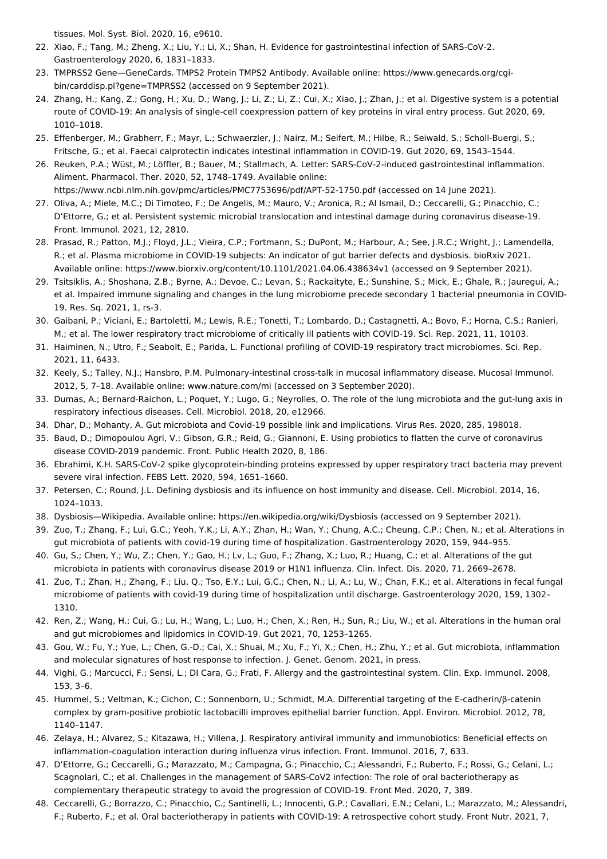<span id="page-7-0"></span>tissues. Mol. Syst. Biol. 2020, 16, e9610.

- 22. Xiao, F.; Tang, M.; Zheng, X.; Liu, Y.; Li, X.; Shan, H. Evidence for gastrointestinal infection of SARS-CoV-2. Gastroenterology 2020, 6, 1831–1833.
- <span id="page-7-1"></span>23. TMPRSS2 Gene—GeneCards. TMPS2 Protein TMPS2 Antibody. Available online: https://www.genecards.org/cgibin/carddisp.pl?gene=TMPRSS2 (accessed on 9 September 2021).
- <span id="page-7-2"></span>24. Zhang, H.; Kang, Z.; Gong, H.; Xu, D.; Wang, J.; Li, Z.; Li, Z.; Cui, X.; Xiao, J.; Zhan, J.; et al. Digestive system is a potential route of COVID-19: An analysis of single-cell coexpression pattern of key proteins in viral entry process. Gut 2020, 69, 1010–1018.
- <span id="page-7-3"></span>25. Effenberger, M.; Grabherr, F.; Mayr, L.; Schwaerzler, J.; Nairz, M.; Seifert, M.; Hilbe, R.; Seiwald, S.; Scholl-Buergi, S.; Fritsche, G.; et al. Faecal calprotectin indicates intestinal inflammation in COVID-19. Gut 2020, 69, 1543–1544.
- <span id="page-7-4"></span>26. Reuken, P.A.; Wüst, M.; Löffler, B.; Bauer, M.; Stallmach, A. Letter: SARS-CoV-2-induced gastrointestinal inflammation. Aliment. Pharmacol. Ther. 2020, 52, 1748–1749. Available online:
	- https://www.ncbi.nlm.nih.gov/pmc/articles/PMC7753696/pdf/APT-52-1750.pdf (accessed on 14 June 2021).
- <span id="page-7-5"></span>27. Oliva, A.; Miele, M.C.; Di Timoteo, F.; De Angelis, M.; Mauro, V.; Aronica, R.; Al Ismail, D.; Ceccarelli, G.; Pinacchio, C.; D'Ettorre, G.; et al. Persistent systemic microbial translocation and intestinal damage during coronavirus disease-19. Front. Immunol. 2021, 12, 2810.
- <span id="page-7-6"></span>28. Prasad, R.; Patton, M.J.; Floyd, J.L.; Vieira, C.P.; Fortmann, S.; DuPont, M.; Harbour, A.; See, J.R.C.; Wright, J.; Lamendella, R.; et al. Plasma microbiome in COVID-19 subjects: An indicator of gut barrier defects and dysbiosis. bioRxiv 2021. Available online: https://www.biorxiv.org/content/10.1101/2021.04.06.438634v1 (accessed on 9 September 2021).
- <span id="page-7-7"></span>29. Tsitsiklis, A.; Shoshana, Z.B.; Byrne, A.; Devoe, C.; Levan, S.; Rackaityte, E.; Sunshine, S.; Mick, E.; Ghale, R.; Jauregui, A.; et al. Impaired immune signaling and changes in the lung microbiome precede secondary 1 bacterial pneumonia in COVID-19. Res. Sq. 2021, 1, rs-3.
- <span id="page-7-8"></span>30. Gaibani, P.; Viciani, E.; Bartoletti, M.; Lewis, R.E.; Tonetti, T.; Lombardo, D.; Castagnetti, A.; Bovo, F.; Horna, C.S.; Ranieri, M.; et al. The lower respiratory tract microbiome of critically ill patients with COVID-19. Sci. Rep. 2021, 11, 10103.
- <span id="page-7-9"></span>31. Haiminen, N.; Utro, F.; Seabolt, E.; Parida, L. Functional profiling of COVID-19 respiratory tract microbiomes. Sci. Rep. 2021, 11, 6433.
- <span id="page-7-10"></span>32. Keely, S.; Talley, N.J.; Hansbro, P.M. Pulmonary-intestinal cross-talk in mucosal inflammatory disease. Mucosal Immunol. 2012, 5, 7–18. Available online: www.nature.com/mi (accessed on 3 September 2020).
- <span id="page-7-11"></span>33. Dumas, A.; Bernard-Raichon, L.; Poquet, Y.; Lugo, G.; Neyrolles, O. The role of the lung microbiota and the gut-lung axis in respiratory infectious diseases. Cell. Microbiol. 2018, 20, e12966.
- <span id="page-7-12"></span>34. Dhar, D.; Mohanty, A. Gut microbiota and Covid-19 possible link and implications. Virus Res. 2020, 285, 198018.
- <span id="page-7-13"></span>35. Baud, D.; Dimopoulou Agri, V.; Gibson, G.R.; Reid, G.; Giannoni, E. Using probiotics to flatten the curve of coronavirus disease COVID-2019 pandemic. Front. Public Health 2020, 8, 186.
- <span id="page-7-14"></span>36. Ebrahimi, K.H. SARS-CoV-2 spike glycoprotein-binding proteins expressed by upper respiratory tract bacteria may prevent severe viral infection. FEBS Lett. 2020, 594, 1651–1660.
- <span id="page-7-15"></span>37. Petersen, C.; Round, J.L. Defining dysbiosis and its influence on host immunity and disease. Cell. Microbiol. 2014, 16, 1024–1033.
- <span id="page-7-16"></span>38. Dysbiosis—Wikipedia. Available online: https://en.wikipedia.org/wiki/Dysbiosis (accessed on 9 September 2021).
- <span id="page-7-17"></span>39. Zuo, T.; Zhang, F.; Lui, G.C.; Yeoh, Y.K.; Li, A.Y.; Zhan, H.; Wan, Y.; Chung, A.C.; Cheung, C.P.; Chen, N.; et al. Alterations in gut microbiota of patients with covid-19 during time of hospitalization. Gastroenterology 2020, 159, 944–955.
- <span id="page-7-18"></span>40. Gu, S.; Chen, Y.; Wu, Z.; Chen, Y.; Gao, H.; Lv, L.; Guo, F.; Zhang, X.; Luo, R.; Huang, C.; et al. Alterations of the gut microbiota in patients with coronavirus disease 2019 or H1N1 influenza. Clin. Infect. Dis. 2020, 71, 2669–2678.
- <span id="page-7-19"></span>41. Zuo, T.; Zhan, H.; Zhang, F.; Liu, Q.; Tso, E.Y.; Lui, G.C.; Chen, N.; Li, A.; Lu, W.; Chan, F.K.; et al. Alterations in fecal fungal microbiome of patients with covid-19 during time of hospitalization until discharge. Gastroenterology 2020, 159, 1302– 1310.
- <span id="page-7-20"></span>42. Ren, Z.; Wang, H.; Cui, G.; Lu, H.; Wang, L.; Luo, H.; Chen, X.; Ren, H.; Sun, R.; Liu, W.; et al. Alterations in the human oral and gut microbiomes and lipidomics in COVID-19. Gut 2021, 70, 1253–1265.
- <span id="page-7-21"></span>43. Gou, W.; Fu, Y.; Yue, L.; Chen, G.-D.; Cai, X.; Shuai, M.; Xu, F.; Yi, X.; Chen, H.; Zhu, Y.; et al. Gut microbiota, inflammation and molecular signatures of host response to infection. J. Genet. Genom. 2021, in press.
- <span id="page-7-22"></span>44. Vighi, G.; Marcucci, F.; Sensi, L.; DI Cara, G.; Frati, F. Allergy and the gastrointestinal system. Clin. Exp. Immunol. 2008, 153, 3–6.
- <span id="page-7-23"></span>45. Hummel, S.; Veltman, K.; Cichon, C.; Sonnenborn, U.; Schmidt, M.A. Differential targeting of the E-cadherin/β-catenin complex by gram-positive probiotic lactobacilli improves epithelial barrier function. Appl. Environ. Microbiol. 2012, 78, 1140–1147.
- <span id="page-7-24"></span>46. Zelaya, H.; Alvarez, S.; Kitazawa, H.; Villena, J. Respiratory antiviral immunity and immunobiotics: Beneficial effects on inflammation-coagulation interaction during influenza virus infection. Front. Immunol. 2016, 7, 633.
- <span id="page-7-25"></span>47. D'Ettorre, G.; Ceccarelli, G.; Marazzato, M.; Campagna, G.; Pinacchio, C.; Alessandri, F.; Ruberto, F.; Rossi, G.; Celani, L.; Scagnolari, C.; et al. Challenges in the management of SARS-CoV2 infection: The role of oral bacteriotherapy as complementary therapeutic strategy to avoid the progression of COVID-19. Front Med. 2020, 7, 389.
- <span id="page-7-26"></span>48. Ceccarelli, G.; Borrazzo, C.; Pinacchio, C.; Santinelli, L.; Innocenti, G.P.; Cavallari, E.N.; Celani, L.; Marazzato, M.; Alessandri, F.; Ruberto, F.; et al. Oral bacteriotherapy in patients with COVID-19: A retrospective cohort study. Front Nutr. 2021, 7,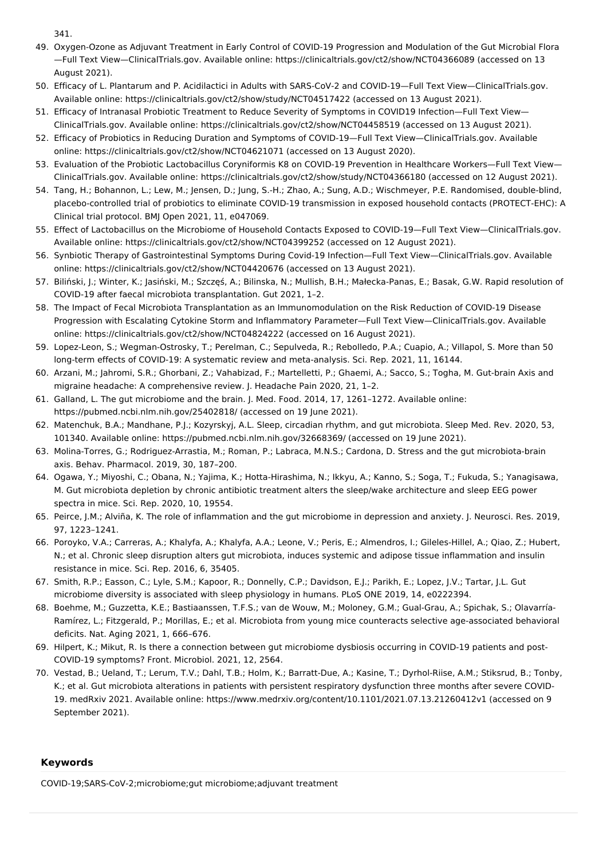<span id="page-8-0"></span>341.

- 49. Oxygen-Ozone as Adjuvant Treatment in Early Control of COVID-19 Progression and Modulation of the Gut Microbial Flora —Full Text View—ClinicalTrials.gov. Available online: https://clinicaltrials.gov/ct2/show/NCT04366089 (accessed on 13 August 2021).
- <span id="page-8-1"></span>50. Efficacy of L. Plantarum and P. Acidilactici in Adults with SARS-CoV-2 and COVID-19—Full Text View—ClinicalTrials.gov. Available online: https://clinicaltrials.gov/ct2/show/study/NCT04517422 (accessed on 13 August 2021).
- <span id="page-8-2"></span>51. Efficacy of Intranasal Probiotic Treatment to Reduce Severity of Symptoms in COVID19 Infection—Full Text View— ClinicalTrials.gov. Available online: https://clinicaltrials.gov/ct2/show/NCT04458519 (accessed on 13 August 2021).
- <span id="page-8-3"></span>52. Efficacy of Probiotics in Reducing Duration and Symptoms of COVID-19—Full Text View—ClinicalTrials.gov. Available online: https://clinicaltrials.gov/ct2/show/NCT04621071 (accessed on 13 August 2020).
- <span id="page-8-4"></span>53. Evaluation of the Probiotic Lactobacillus Coryniformis K8 on COVID-19 Prevention in Healthcare Workers—Full Text View— ClinicalTrials.gov. Available online: https://clinicaltrials.gov/ct2/show/study/NCT04366180 (accessed on 12 August 2021).
- <span id="page-8-5"></span>54. Tang, H.; Bohannon, L.; Lew, M.; Jensen, D.; Jung, S.-H.; Zhao, A.; Sung, A.D.; Wischmeyer, P.E. Randomised, double-blind, placebo-controlled trial of probiotics to eliminate COVID-19 transmission in exposed household contacts (PROTECT-EHC): A Clinical trial protocol. BMJ Open 2021, 11, e047069.
- <span id="page-8-6"></span>55. Effect of Lactobacillus on the Microbiome of Household Contacts Exposed to COVID-19—Full Text View—ClinicalTrials.gov. Available online: https://clinicaltrials.gov/ct2/show/NCT04399252 (accessed on 12 August 2021).
- <span id="page-8-7"></span>56. Synbiotic Therapy of Gastrointestinal Symptoms During Covid-19 Infection—Full Text View—ClinicalTrials.gov. Available online: https://clinicaltrials.gov/ct2/show/NCT04420676 (accessed on 13 August 2021).
- <span id="page-8-8"></span>57. Biliński, J.; Winter, K.; Jasiński, M.; Szczęś, A.; Bilinska, N.; Mullish, B.H.; Małecka-Panas, E.; Basak, G.W. Rapid resolution of COVID-19 after faecal microbiota transplantation. Gut 2021, 1–2.
- <span id="page-8-9"></span>58. The Impact of Fecal Microbiota Transplantation as an Immunomodulation on the Risk Reduction of COVID-19 Disease Progression with Escalating Cytokine Storm and Inflammatory Parameter—Full Text View—ClinicalTrials.gov. Available online: https://clinicaltrials.gov/ct2/show/NCT04824222 (accessed on 16 August 2021).
- <span id="page-8-10"></span>59. Lopez-Leon, S.; Wegman-Ostrosky, T.; Perelman, C.; Sepulveda, R.; Rebolledo, P.A.; Cuapio, A.; Villapol, S. More than 50 long-term effects of COVID-19: A systematic review and meta-analysis. Sci. Rep. 2021, 11, 16144.
- <span id="page-8-11"></span>60. Arzani, M.; Jahromi, S.R.; Ghorbani, Z.; Vahabizad, F.; Martelletti, P.; Ghaemi, A.; Sacco, S.; Togha, M. Gut-brain Axis and migraine headache: A comprehensive review. J. Headache Pain 2020, 21, 1–2.
- <span id="page-8-12"></span>61. Galland, L. The gut microbiome and the brain. J. Med. Food. 2014, 17, 1261–1272. Available online: https://pubmed.ncbi.nlm.nih.gov/25402818/ (accessed on 19 June 2021).
- <span id="page-8-13"></span>62. Matenchuk, B.A.; Mandhane, P.J.; Kozyrskyj, A.L. Sleep, circadian rhythm, and gut microbiota. Sleep Med. Rev. 2020, 53, 101340. Available online: https://pubmed.ncbi.nlm.nih.gov/32668369/ (accessed on 19 June 2021).
- <span id="page-8-14"></span>63. Molina-Torres, G.; Rodriguez-Arrastia, M.; Roman, P.; Labraca, M.N.S.; Cardona, D. Stress and the gut microbiota-brain axis. Behav. Pharmacol. 2019, 30, 187–200.
- <span id="page-8-15"></span>64. Ogawa, Y.; Miyoshi, C.; Obana, N.; Yajima, K.; Hotta-Hirashima, N.; Ikkyu, A.; Kanno, S.; Soga, T.; Fukuda, S.; Yanagisawa, M. Gut microbiota depletion by chronic antibiotic treatment alters the sleep/wake architecture and sleep EEG power spectra in mice. Sci. Rep. 2020, 10, 19554.
- <span id="page-8-16"></span>65. Peirce, J.M.; Alviña, K. The role of inflammation and the gut microbiome in depression and anxiety. J. Neurosci. Res. 2019, 97, 1223–1241.
- <span id="page-8-17"></span>66. Poroyko, V.A.; Carreras, A.; Khalyfa, A.; Khalyfa, A.A.; Leone, V.; Peris, E.; Almendros, I.; Gileles-Hillel, A.; Qiao, Z.; Hubert, N.; et al. Chronic sleep disruption alters gut microbiota, induces systemic and adipose tissue inflammation and insulin resistance in mice. Sci. Rep. 2016, 6, 35405.
- <span id="page-8-18"></span>67. Smith, R.P.; Easson, C.; Lyle, S.M.; Kapoor, R.; Donnelly, C.P.; Davidson, E.J.; Parikh, E.; Lopez, J.V.; Tartar, J.L. Gut microbiome diversity is associated with sleep physiology in humans. PLoS ONE 2019, 14, e0222394.
- <span id="page-8-19"></span>68. Boehme, M.; Guzzetta, K.E.; Bastiaanssen, T.F.S.; van de Wouw, M.; Moloney, G.M.; Gual-Grau, A.; Spichak, S.; Olavarría-Ramírez, L.; Fitzgerald, P.; Morillas, E.; et al. Microbiota from young mice counteracts selective age-associated behavioral deficits. Nat. Aging 2021, 1, 666–676.
- <span id="page-8-20"></span>69. Hilpert, K.; Mikut, R. Is there a connection between gut microbiome dysbiosis occurring in COVID-19 patients and post-COVID-19 symptoms? Front. Microbiol. 2021, 12, 2564.
- <span id="page-8-21"></span>70. Vestad, B.; Ueland, T.; Lerum, T.V.; Dahl, T.B.; Holm, K.; Barratt-Due, A.; Kasine, T.; Dyrhol-Riise, A.M.; Stiksrud, B.; Tonby, K.; et al. Gut microbiota alterations in patients with persistent respiratory dysfunction three months after severe COVID-19. medRxiv 2021. Available online: https://www.medrxiv.org/content/10.1101/2021.07.13.21260412v1 (accessed on 9 September 2021).

#### **Keywords**

COVID-19;SARS-CoV-2;microbiome;gut microbiome;adjuvant treatment